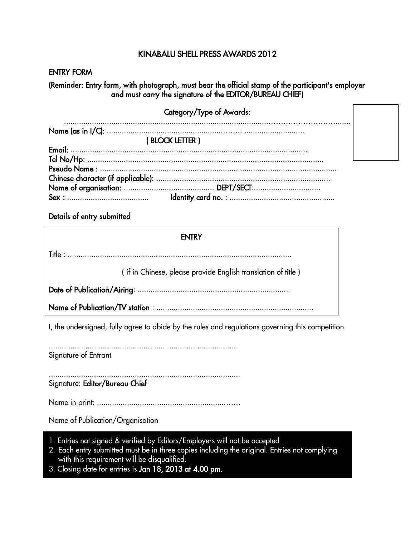## KINABALU SHELL PRESS AWARDS 2012

**ENTRY FORM** 

(Reminder: Entry form, with photograph, must bear the official stamp of the participant's employer and must carry the signature of the EDITOR/BUREAU CHIEF)

| Category/Type of Awards: |  |
|--------------------------|--|
|                          |  |
| (BLOCK LETTER)           |  |
|                          |  |
|                          |  |
|                          |  |
|                          |  |
|                          |  |
|                          |  |

Details of entry submitted

| <b>ENTRY</b>                                                 |  |  |
|--------------------------------------------------------------|--|--|
|                                                              |  |  |
| (if in Chinese, please provide English translation of title) |  |  |
|                                                              |  |  |
|                                                              |  |  |

I, the undersigned, fully agree to abide by the rules and regulations governing this competition.

Signature of Entrant

Signature: Editor/Bureau Chief

Name of Publication/Organisation

- 1. Entries not signed & verified by Editors/Employers will not be accepted
- 2. Each entry submitted must be in three copies including the original. Entries not complying with this requirement will be disqualified.
- 3. Closing date for entries is Jan 18, 2013 at 4.00 pm.